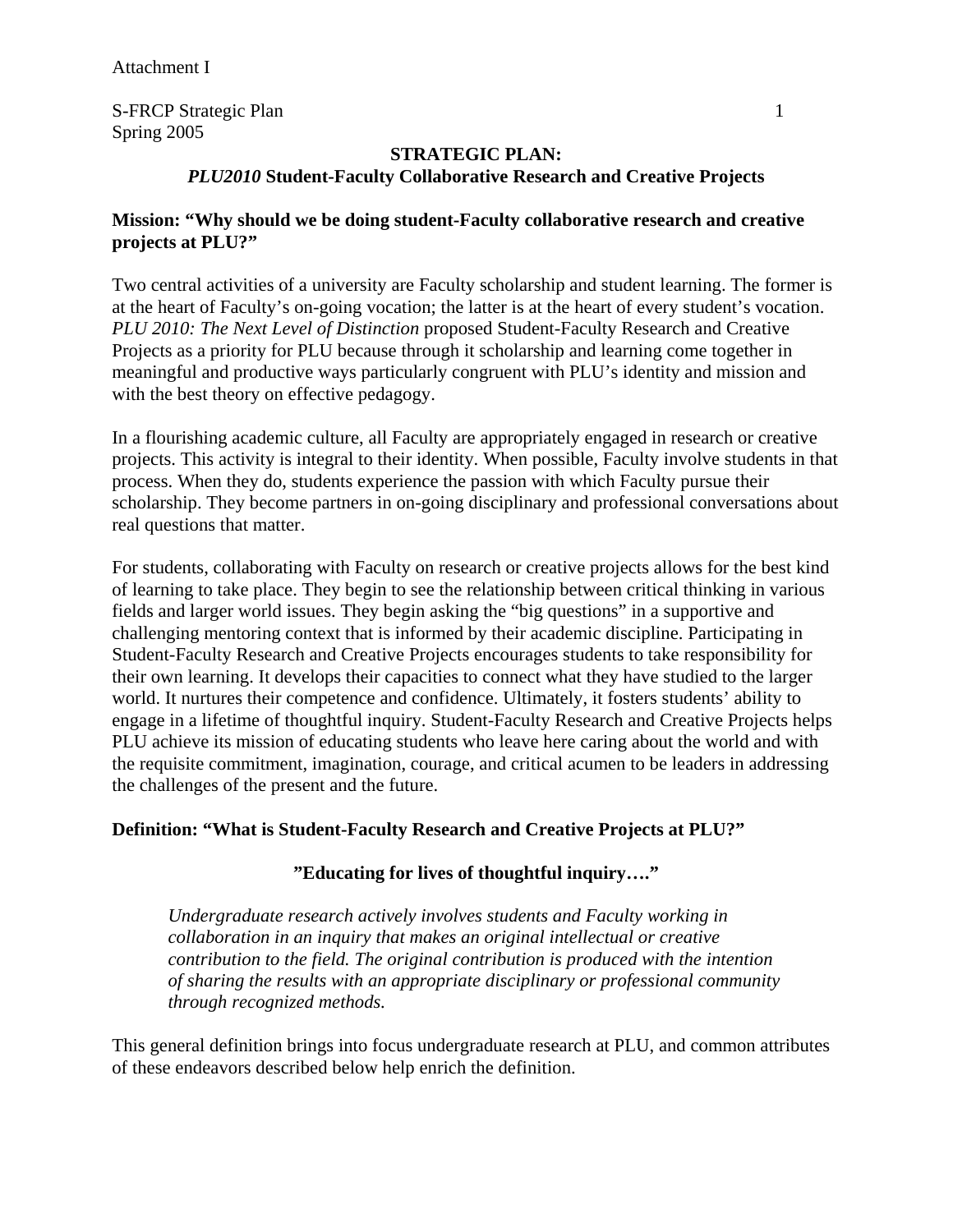S-FRCP Strategic Plan 1 Spring 2005

## **STRATEGIC PLAN:**

## *PLU2010* **Student-Faculty Collaborative Research and Creative Projects**

### **Mission: "Why should we be doing student-Faculty collaborative research and creative projects at PLU?"**

Two central activities of a university are Faculty scholarship and student learning. The former is at the heart of Faculty's on-going vocation; the latter is at the heart of every student's vocation. *PLU 2010: The Next Level of Distinction* proposed Student-Faculty Research and Creative Projects as a priority for PLU because through it scholarship and learning come together in meaningful and productive ways particularly congruent with PLU's identity and mission and with the best theory on effective pedagogy.

In a flourishing academic culture, all Faculty are appropriately engaged in research or creative projects. This activity is integral to their identity. When possible, Faculty involve students in that process. When they do, students experience the passion with which Faculty pursue their scholarship. They become partners in on-going disciplinary and professional conversations about real questions that matter.

For students, collaborating with Faculty on research or creative projects allows for the best kind of learning to take place. They begin to see the relationship between critical thinking in various fields and larger world issues. They begin asking the "big questions" in a supportive and challenging mentoring context that is informed by their academic discipline. Participating in Student-Faculty Research and Creative Projects encourages students to take responsibility for their own learning. It develops their capacities to connect what they have studied to the larger world. It nurtures their competence and confidence. Ultimately, it fosters students' ability to engage in a lifetime of thoughtful inquiry. Student-Faculty Research and Creative Projects helps PLU achieve its mission of educating students who leave here caring about the world and with the requisite commitment, imagination, courage, and critical acumen to be leaders in addressing the challenges of the present and the future.

### **Definition: "What is Student-Faculty Research and Creative Projects at PLU?"**

### **"Educating for lives of thoughtful inquiry…."**

*Undergraduate research actively involves students and Faculty working in collaboration in an inquiry that makes an original intellectual or creative contribution to the field. The original contribution is produced with the intention of sharing the results with an appropriate disciplinary or professional community through recognized methods.* 

This general definition brings into focus undergraduate research at PLU, and common attributes of these endeavors described below help enrich the definition.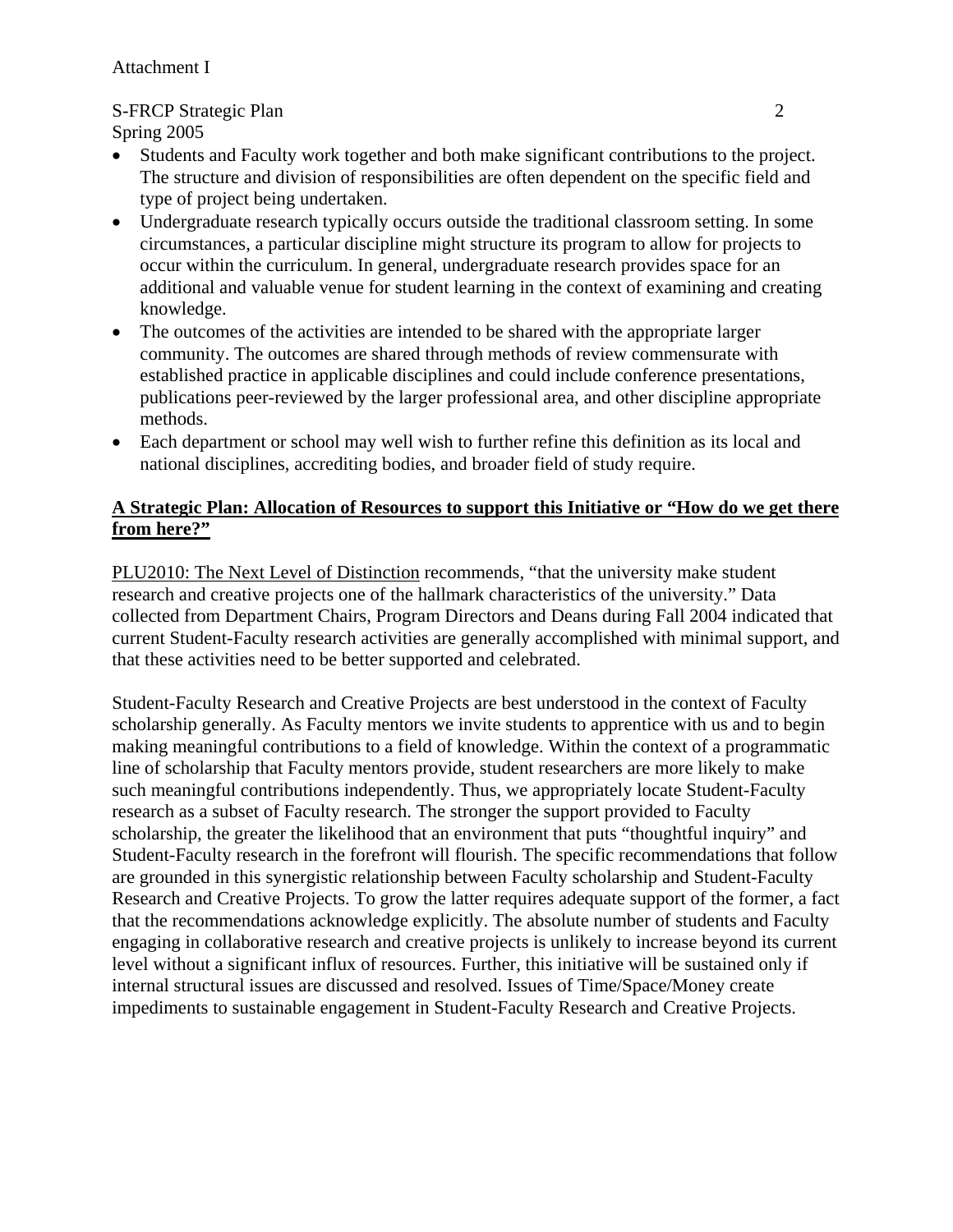# S-FRCP Strategic Plan 2

Spring 2005

- Students and Faculty work together and both make significant contributions to the project. The structure and division of responsibilities are often dependent on the specific field and type of project being undertaken.
- Undergraduate research typically occurs outside the traditional classroom setting. In some circumstances, a particular discipline might structure its program to allow for projects to occur within the curriculum. In general, undergraduate research provides space for an additional and valuable venue for student learning in the context of examining and creating knowledge.
- The outcomes of the activities are intended to be shared with the appropriate larger community. The outcomes are shared through methods of review commensurate with established practice in applicable disciplines and could include conference presentations, publications peer-reviewed by the larger professional area, and other discipline appropriate methods.
- Each department or school may well wish to further refine this definition as its local and national disciplines, accrediting bodies, and broader field of study require.

## **A Strategic Plan: Allocation of Resources to support this Initiative or "How do we get there from here?"**

PLU2010: The Next Level of Distinction recommends, "that the university make student research and creative projects one of the hallmark characteristics of the university." Data collected from Department Chairs, Program Directors and Deans during Fall 2004 indicated that current Student-Faculty research activities are generally accomplished with minimal support, and that these activities need to be better supported and celebrated.

Student-Faculty Research and Creative Projects are best understood in the context of Faculty scholarship generally. As Faculty mentors we invite students to apprentice with us and to begin making meaningful contributions to a field of knowledge. Within the context of a programmatic line of scholarship that Faculty mentors provide, student researchers are more likely to make such meaningful contributions independently. Thus, we appropriately locate Student-Faculty research as a subset of Faculty research. The stronger the support provided to Faculty scholarship, the greater the likelihood that an environment that puts "thoughtful inquiry" and Student-Faculty research in the forefront will flourish. The specific recommendations that follow are grounded in this synergistic relationship between Faculty scholarship and Student-Faculty Research and Creative Projects. To grow the latter requires adequate support of the former, a fact that the recommendations acknowledge explicitly. The absolute number of students and Faculty engaging in collaborative research and creative projects is unlikely to increase beyond its current level without a significant influx of resources. Further, this initiative will be sustained only if internal structural issues are discussed and resolved. Issues of Time/Space/Money create impediments to sustainable engagement in Student-Faculty Research and Creative Projects.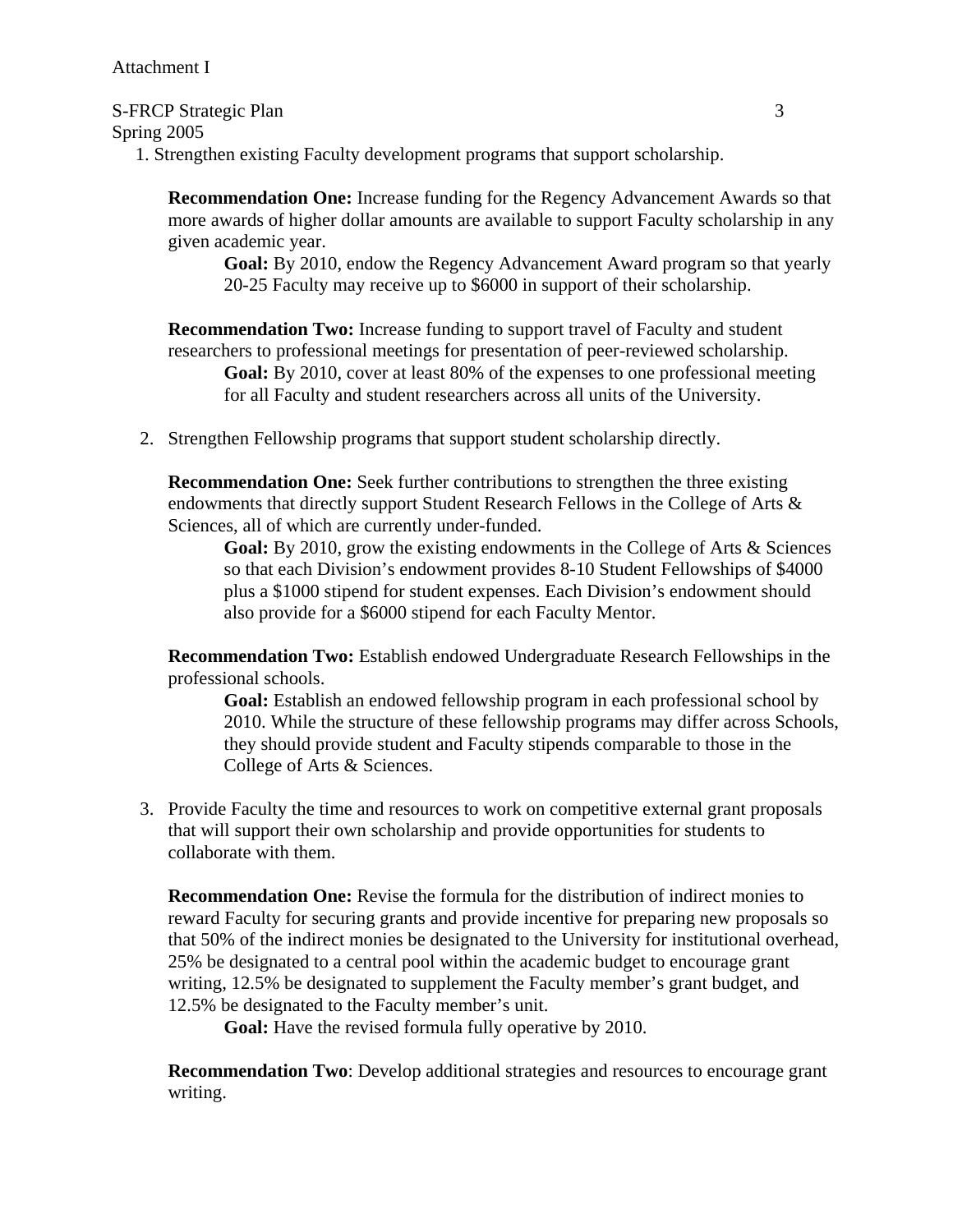#### S-FRCP Strategic Plan 3

Spring 2005

1. Strengthen existing Faculty development programs that support scholarship.

**Recommendation One:** Increase funding for the Regency Advancement Awards so that more awards of higher dollar amounts are available to support Faculty scholarship in any given academic year.

**Goal:** By 2010, endow the Regency Advancement Award program so that yearly 20-25 Faculty may receive up to \$6000 in support of their scholarship.

**Recommendation Two:** Increase funding to support travel of Faculty and student researchers to professional meetings for presentation of peer-reviewed scholarship. **Goal:** By 2010, cover at least 80% of the expenses to one professional meeting for all Faculty and student researchers across all units of the University.

2. Strengthen Fellowship programs that support student scholarship directly.

**Recommendation One:** Seek further contributions to strengthen the three existing endowments that directly support Student Research Fellows in the College of Arts & Sciences, all of which are currently under-funded.

**Goal:** By 2010, grow the existing endowments in the College of Arts & Sciences so that each Division's endowment provides 8-10 Student Fellowships of \$4000 plus a \$1000 stipend for student expenses. Each Division's endowment should also provide for a \$6000 stipend for each Faculty Mentor.

**Recommendation Two:** Establish endowed Undergraduate Research Fellowships in the professional schools.

**Goal:** Establish an endowed fellowship program in each professional school by 2010. While the structure of these fellowship programs may differ across Schools, they should provide student and Faculty stipends comparable to those in the College of Arts & Sciences.

3. Provide Faculty the time and resources to work on competitive external grant proposals that will support their own scholarship and provide opportunities for students to collaborate with them.

**Recommendation One:** Revise the formula for the distribution of indirect monies to reward Faculty for securing grants and provide incentive for preparing new proposals so that 50% of the indirect monies be designated to the University for institutional overhead, 25% be designated to a central pool within the academic budget to encourage grant writing, 12.5% be designated to supplement the Faculty member's grant budget, and 12.5% be designated to the Faculty member's unit.

 **Goal:** Have the revised formula fully operative by 2010.

**Recommendation Two:** Develop additional strategies and resources to encourage grant writing.